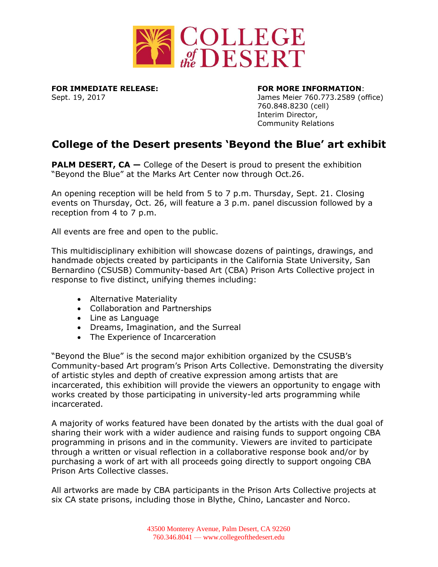

**FOR IMMEDIATE RELEASE: FOR MORE INFORMATION**:

Sept. 19, 2017 James Meier 760.773.2589 (office) 760.848.8230 (cell) Interim Director, Community Relations

# **College of the Desert presents 'Beyond the Blue' art exhibit**

**PALM DESERT, CA** – College of the Desert is proud to present the exhibition "Beyond the Blue" at the Marks Art Center now through Oct.26.

An opening reception will be held from 5 to 7 p.m. Thursday, Sept. 21. Closing events on Thursday, Oct. 26, will feature a 3 p.m. panel discussion followed by a reception from 4 to 7 p.m.

All events are free and open to the public.

This multidisciplinary exhibition will showcase dozens of paintings, drawings, and handmade objects created by participants in the California State University, San Bernardino (CSUSB) Community-based Art (CBA) Prison Arts Collective project in response to five distinct, unifying themes including:

- Alternative Materiality
- Collaboration and Partnerships
- Line as Language
- Dreams, Imagination, and the Surreal
- The Experience of Incarceration

"Beyond the Blue" is the second major exhibition organized by the CSUSB's Community-based Art program's Prison Arts Collective. Demonstrating the diversity of artistic styles and depth of creative expression among artists that are incarcerated, this exhibition will provide the viewers an opportunity to engage with works created by those participating in university-led arts programming while incarcerated.

A majority of works featured have been donated by the artists with the dual goal of sharing their work with a wider audience and raising funds to support ongoing CBA programming in prisons and in the community. Viewers are invited to participate through a written or visual reflection in a collaborative response book and/or by purchasing a work of art with all proceeds going directly to support ongoing CBA Prison Arts Collective classes.

All artworks are made by CBA participants in the Prison Arts Collective projects at six CA state prisons, including those in Blythe, Chino, Lancaster and Norco.